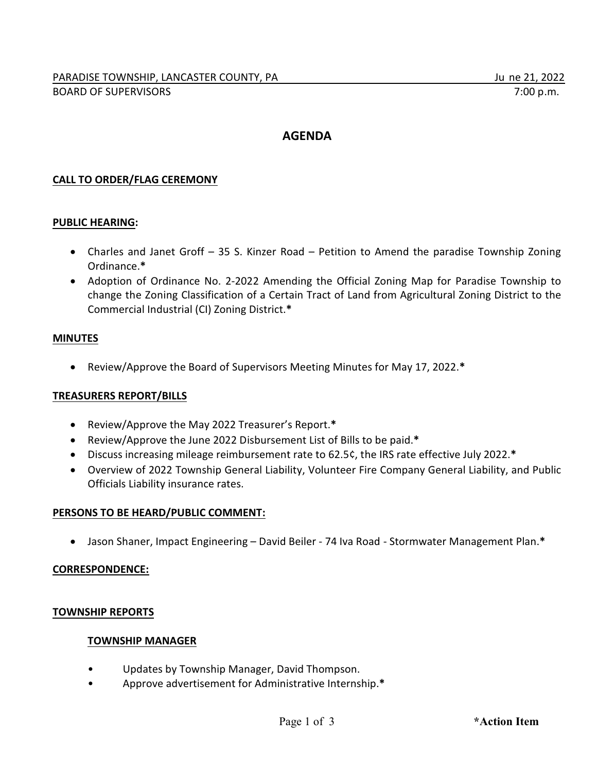# **AGENDA**

## **CALL TO ORDER/FLAG CEREMONY**

## **PUBLIC HEARING:**

- · Charles and Janet Groff 35 S. Kinzer Road Petition to Amend the paradise Township Zoning Ordinance.**\***
- · Adoption of Ordinance No. 2-2022 Amending the Official Zoning Map for Paradise Township to change the Zoning Classification of a Certain Tract of Land from Agricultural Zoning District to the Commercial Industrial (CI) Zoning District.**\***

### **MINUTES**

· Review/Approve the Board of Supervisors Meeting Minutes for May 17, 2022.**\***

### **TREASURERS REPORT/BILLS**

- · Review/Approve the May 2022 Treasurer's Report.**\***
- · Review/Approve the June 2022 Disbursement List of Bills to be paid.**\***
- · Discuss increasing mileage reimbursement rate to 62.5¢, the IRS rate effective July 2022.**\***
- · Overview of 2022 Township General Liability, Volunteer Fire Company General Liability, and Public Officials Liability insurance rates.

### **PERSONS TO BE HEARD/PUBLIC COMMENT:**

· Jason Shaner, Impact Engineering – David Beiler - 74 Iva Road - Stormwater Management Plan.**\***

### **CORRESPONDENCE:**

### **TOWNSHIP REPORTS**

### **TOWNSHIP MANAGER**

- Updates by Township Manager, David Thompson.
- Approve advertisement for Administrative Internship.**\***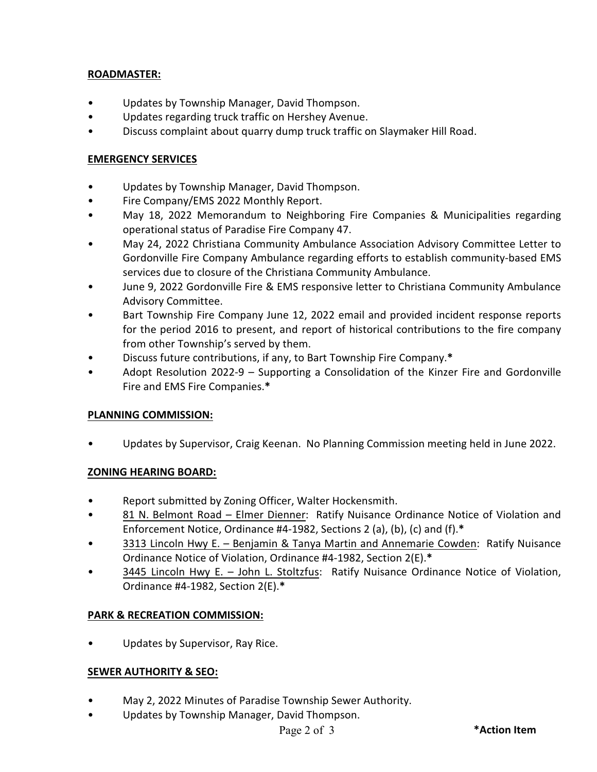## **ROADMASTER:**

- Updates by Township Manager, David Thompson.
- Updates regarding truck traffic on Hershey Avenue.
- Discuss complaint about quarry dump truck traffic on Slaymaker Hill Road.

### **EMERGENCY SERVICES**

- Updates by Township Manager, David Thompson.
- Fire Company/EMS 2022 Monthly Report.
- May 18, 2022 Memorandum to Neighboring Fire Companies & Municipalities regarding operational status of Paradise Fire Company 47.
- May 24, 2022 Christiana Community Ambulance Association Advisory Committee Letter to Gordonville Fire Company Ambulance regarding efforts to establish community-based EMS services due to closure of the Christiana Community Ambulance.
- June 9, 2022 Gordonville Fire & EMS responsive letter to Christiana Community Ambulance Advisory Committee.
- Bart Township Fire Company June 12, 2022 email and provided incident response reports for the period 2016 to present, and report of historical contributions to the fire company from other Township's served by them.
- Discuss future contributions, if any, to Bart Township Fire Company.**\***
- Adopt Resolution 2022-9 Supporting a Consolidation of the Kinzer Fire and Gordonville Fire and EMS Fire Companies.**\***

## **PLANNING COMMISSION:**

• Updates by Supervisor, Craig Keenan. No Planning Commission meeting held in June 2022.

## **ZONING HEARING BOARD:**

- Report submitted by Zoning Officer, Walter Hockensmith.
- 81 N. Belmont Road Elmer Dienner: Ratify Nuisance Ordinance Notice of Violation and Enforcement Notice, Ordinance #4-1982, Sections 2 (a), (b), (c) and (f).**\***
- 3313 Lincoln Hwy E. Benjamin & Tanya Martin and Annemarie Cowden: Ratify Nuisance Ordinance Notice of Violation, Ordinance #4-1982, Section 2(E).**\***
- 3445 Lincoln Hwy E. John L. Stoltzfus: Ratify Nuisance Ordinance Notice of Violation, Ordinance #4-1982, Section 2(E).**\***

## **PARK & RECREATION COMMISSION:**

Updates by Supervisor, Ray Rice.

## **SEWER AUTHORITY & SEO:**

- May 2, 2022 Minutes of Paradise Township Sewer Authority.
- Updates by Township Manager, David Thompson.